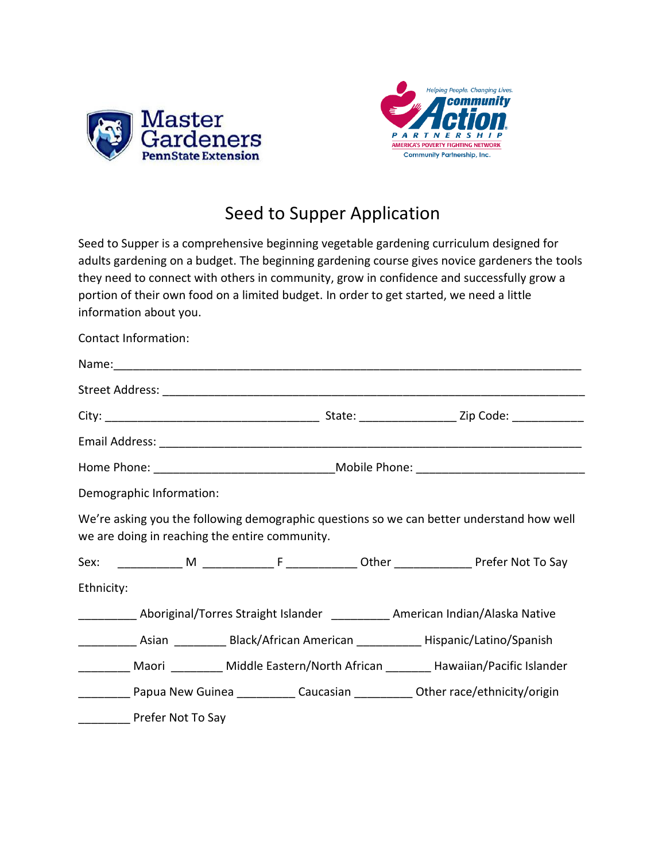



## Seed to Supper Application

Seed to Supper is a comprehensive beginning vegetable gardening curriculum designed for adults gardening on a budget. The beginning gardening course gives novice gardeners the tools they need to connect with others in community, grow in confidence and successfully grow a portion of their own food on a limited budget. In order to get started, we need a little information about you.

| Contact Information:                                                                                                                        |                                                                                          |  |  |  |
|---------------------------------------------------------------------------------------------------------------------------------------------|------------------------------------------------------------------------------------------|--|--|--|
|                                                                                                                                             |                                                                                          |  |  |  |
|                                                                                                                                             |                                                                                          |  |  |  |
|                                                                                                                                             |                                                                                          |  |  |  |
|                                                                                                                                             |                                                                                          |  |  |  |
|                                                                                                                                             | Home Phone: __________________________________Mobile Phone: ____________________________ |  |  |  |
| Demographic Information:                                                                                                                    |                                                                                          |  |  |  |
| We're asking you the following demographic questions so we can better understand how well<br>we are doing in reaching the entire community. |                                                                                          |  |  |  |
|                                                                                                                                             |                                                                                          |  |  |  |
| Ethnicity:                                                                                                                                  |                                                                                          |  |  |  |
| _____________ Aboriginal/Torres Straight Islander ____________ American Indian/Alaska Native                                                |                                                                                          |  |  |  |
| _______________Asian ______________Black/African American _________________Hispanic/Latino/Spanish                                          |                                                                                          |  |  |  |
| __________ Maori __________ Middle Eastern/North African ________ Hawaiian/Pacific Islander                                                 |                                                                                          |  |  |  |
| <b>Example 2018</b> Papua New Guinea <b>Caucasian</b> Caucasian <b>Caucasian</b> Other race/ethnicity/origin                                |                                                                                          |  |  |  |
| Prefer Not To Say                                                                                                                           |                                                                                          |  |  |  |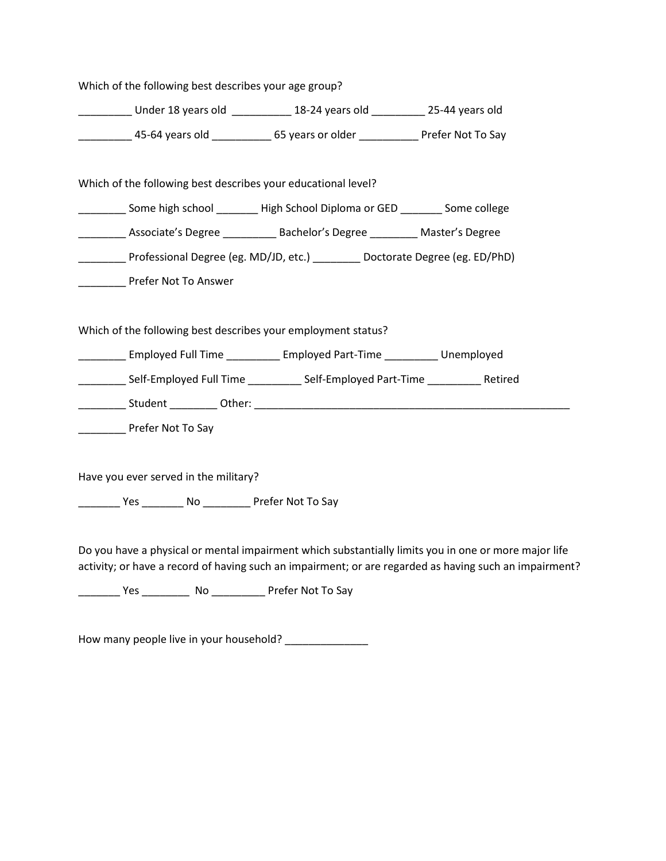| Which of the following best describes your age group?            |                                                                                                                                                                                                                                                                 |                                                                                                                                                                                                                |
|------------------------------------------------------------------|-----------------------------------------------------------------------------------------------------------------------------------------------------------------------------------------------------------------------------------------------------------------|----------------------------------------------------------------------------------------------------------------------------------------------------------------------------------------------------------------|
|                                                                  | _____________ Under 18 years old _____________ 18-24 years old ___________ 25-44 years old                                                                                                                                                                      |                                                                                                                                                                                                                |
|                                                                  | _____________ 45-64 years old _____________ 65 years or older ______________ Prefer Not To Say                                                                                                                                                                  |                                                                                                                                                                                                                |
|                                                                  | Which of the following best describes your educational level?                                                                                                                                                                                                   |                                                                                                                                                                                                                |
|                                                                  | _________ Some high school ________ High School Diploma or GED ________ Some college                                                                                                                                                                            |                                                                                                                                                                                                                |
|                                                                  | __________ Associate's Degree __________ Bachelor's Degree _________ Master's Degree                                                                                                                                                                            |                                                                                                                                                                                                                |
|                                                                  | __________ Professional Degree (eg. MD/JD, etc.) _________ Doctorate Degree (eg. ED/PhD)                                                                                                                                                                        |                                                                                                                                                                                                                |
| <b>Example 2 Prefer Not To Answer</b>                            |                                                                                                                                                                                                                                                                 |                                                                                                                                                                                                                |
| ______________ Prefer Not To Say                                 | Which of the following best describes your employment status?<br>___________ Employed Full Time ____________ Employed Part-Time ____________ Unemployed<br>________________Self-Employed Full Time ______________Self-Employed Part-Time _______________Retired |                                                                                                                                                                                                                |
| Have you ever served in the military?                            |                                                                                                                                                                                                                                                                 |                                                                                                                                                                                                                |
| ____________ Yes ___________ No ____________ Prefer Not To Say   |                                                                                                                                                                                                                                                                 |                                                                                                                                                                                                                |
|                                                                  |                                                                                                                                                                                                                                                                 | Do you have a physical or mental impairment which substantially limits you in one or more major life<br>activity; or have a record of having such an impairment; or are regarded as having such an impairment? |
| __________ Yes _____________ No ______________ Prefer Not To Say |                                                                                                                                                                                                                                                                 |                                                                                                                                                                                                                |

How many people live in your household? \_\_\_\_\_\_\_\_\_\_\_\_\_\_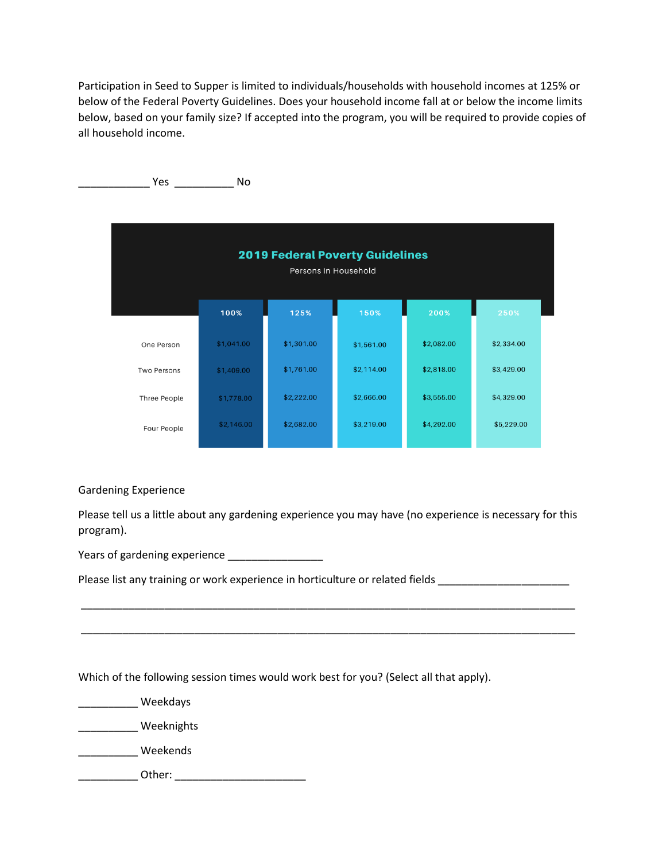Participation in Seed to Supper is limited to individuals/households with household incomes at 125% or below of the Federal Poverty Guidelines. Does your household income fall at or below the income limits below, based on your family size? If accepted into the program, you will be required to provide copies of all household income.



## Gardening Experience

Please tell us a little about any gardening experience you may have (no experience is necessary for this program).

\_\_\_\_\_\_\_\_\_\_\_\_\_\_\_\_\_\_\_\_\_\_\_\_\_\_\_\_\_\_\_\_\_\_\_\_\_\_\_\_\_\_\_\_\_\_\_\_\_\_\_\_\_\_\_\_\_\_\_\_\_\_\_\_\_\_\_\_\_\_\_\_\_\_\_\_\_\_\_\_\_\_\_

\_\_\_\_\_\_\_\_\_\_\_\_\_\_\_\_\_\_\_\_\_\_\_\_\_\_\_\_\_\_\_\_\_\_\_\_\_\_\_\_\_\_\_\_\_\_\_\_\_\_\_\_\_\_\_\_\_\_\_\_\_\_\_\_\_\_\_\_\_\_\_\_\_\_\_\_\_\_\_\_\_\_\_

Years of gardening experience \_\_\_\_\_\_\_\_\_\_\_\_\_\_\_\_

Please list any training or work experience in horticulture or related fields

Which of the following session times would work best for you? (Select all that apply).

\_\_\_\_\_\_\_\_\_\_ Weekdays

\_\_\_\_\_\_\_\_\_\_ Weeknights

\_\_\_\_\_\_\_\_\_\_ Weekends

\_\_\_\_\_\_\_\_\_\_ Other: \_\_\_\_\_\_\_\_\_\_\_\_\_\_\_\_\_\_\_\_\_\_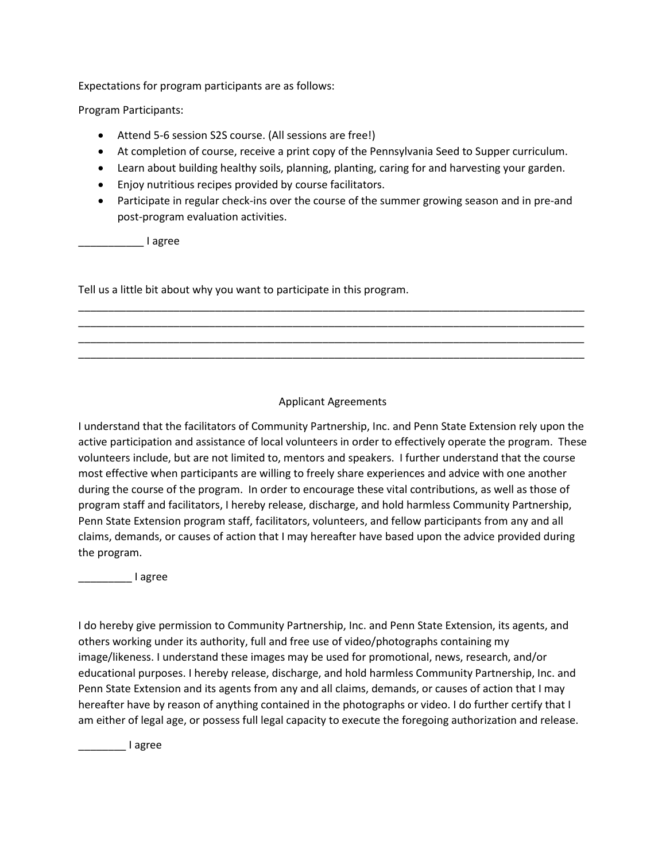Expectations for program participants are as follows:

Program Participants:

- Attend 5-6 session S2S course. (All sessions are free!)
- At completion of course, receive a print copy of the Pennsylvania Seed to Supper curriculum.
- Learn about building healthy soils, planning, planting, caring for and harvesting your garden.
- Enjoy nutritious recipes provided by course facilitators.
- Participate in regular check-ins over the course of the summer growing season and in pre-and post-program evaluation activities.

\_\_\_\_\_\_\_\_\_\_\_ I agree

Tell us a little bit about why you want to participate in this program.

## Applicant Agreements

\_\_\_\_\_\_\_\_\_\_\_\_\_\_\_\_\_\_\_\_\_\_\_\_\_\_\_\_\_\_\_\_\_\_\_\_\_\_\_\_\_\_\_\_\_\_\_\_\_\_\_\_\_\_\_\_\_\_\_\_\_\_\_\_\_\_\_\_\_\_\_\_\_\_\_\_\_\_\_\_\_\_\_\_\_ \_\_\_\_\_\_\_\_\_\_\_\_\_\_\_\_\_\_\_\_\_\_\_\_\_\_\_\_\_\_\_\_\_\_\_\_\_\_\_\_\_\_\_\_\_\_\_\_\_\_\_\_\_\_\_\_\_\_\_\_\_\_\_\_\_\_\_\_\_\_\_\_\_\_\_\_\_\_\_\_\_\_\_\_\_ \_\_\_\_\_\_\_\_\_\_\_\_\_\_\_\_\_\_\_\_\_\_\_\_\_\_\_\_\_\_\_\_\_\_\_\_\_\_\_\_\_\_\_\_\_\_\_\_\_\_\_\_\_\_\_\_\_\_\_\_\_\_\_\_\_\_\_\_\_\_\_\_\_\_\_\_\_\_\_\_\_\_\_\_\_ \_\_\_\_\_\_\_\_\_\_\_\_\_\_\_\_\_\_\_\_\_\_\_\_\_\_\_\_\_\_\_\_\_\_\_\_\_\_\_\_\_\_\_\_\_\_\_\_\_\_\_\_\_\_\_\_\_\_\_\_\_\_\_\_\_\_\_\_\_\_\_\_\_\_\_\_\_\_\_\_\_\_\_\_\_

I understand that the facilitators of Community Partnership, Inc. and Penn State Extension rely upon the active participation and assistance of local volunteers in order to effectively operate the program. These volunteers include, but are not limited to, mentors and speakers. I further understand that the course most effective when participants are willing to freely share experiences and advice with one another during the course of the program. In order to encourage these vital contributions, as well as those of program staff and facilitators, I hereby release, discharge, and hold harmless Community Partnership, Penn State Extension program staff, facilitators, volunteers, and fellow participants from any and all claims, demands, or causes of action that I may hereafter have based upon the advice provided during the program.

\_\_\_\_\_\_\_\_\_ I agree

I do hereby give permission to Community Partnership, Inc. and Penn State Extension, its agents, and others working under its authority, full and free use of video/photographs containing my image/likeness. I understand these images may be used for promotional, news, research, and/or educational purposes. I hereby release, discharge, and hold harmless Community Partnership, Inc. and Penn State Extension and its agents from any and all claims, demands, or causes of action that I may hereafter have by reason of anything contained in the photographs or video. I do further certify that I am either of legal age, or possess full legal capacity to execute the foregoing authorization and release.

\_\_\_\_\_\_\_\_ I agree